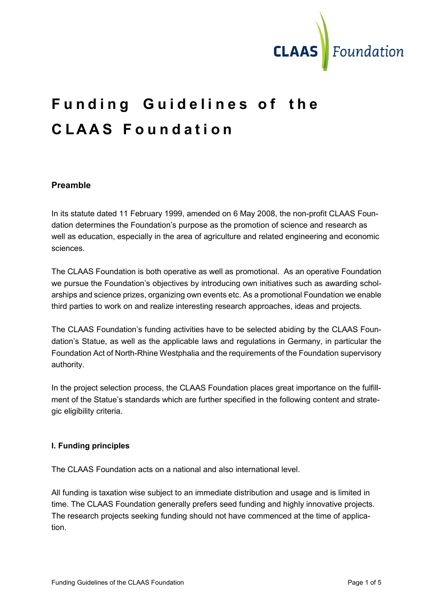

# Funding Guidelines of the CLAAS Foundation

## Preamble

In its statute dated 11 February 1999, amended on 6 May 2008, the non-profit CLAAS Foundation determines the Foundation's purpose as the promotion of science and research as well as education, especially in the area of agriculture and related engineering and economic sciences.

The CLAAS Foundation is both operative as well as promotional. As an operative Foundation we pursue the Foundation's objectives by introducing own initiatives such as awarding scholarships and science prizes, organizing own events etc. As a promotional Foundation we enable third parties to work on and realize interesting research approaches, ideas and projects.

The CLAAS Foundation's funding activities have to be selected abiding by the CLAAS Foundation's Statue, as well as the applicable laws and regulations in Germany, in particular the Foundation Act of North-Rhine Westphalia and the requirements of the Foundation supervisory authority.

In the project selection process, the CLAAS Foundation places great importance on the fulfillment of the Statue's standards which are further specified in the following content and strategic eligibility criteria.

## I. Funding principles

The CLAAS Foundation acts on a national and also international level.

All funding is taxation wise subject to an immediate distribution and usage and is limited in time. The CLAAS Foundation generally prefers seed funding and highly innovative projects. The research projects seeking funding should not have commenced at the time of application.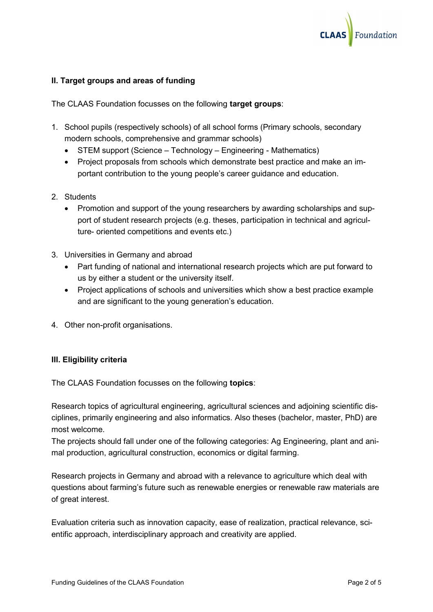

#### II. Target groups and areas of funding

The CLAAS Foundation focusses on the following target groups:

- 1. School pupils (respectively schools) of all school forms (Primary schools, secondary modern schools, comprehensive and grammar schools)
	- STEM support (Science Technology Engineering Mathematics)
	- Project proposals from schools which demonstrate best practice and make an important contribution to the young people's career guidance and education.
- 2. Students
	- Promotion and support of the young researchers by awarding scholarships and support of student research projects (e.g. theses, participation in technical and agriculture- oriented competitions and events etc.)
- 3. Universities in Germany and abroad
	- Part funding of national and international research projects which are put forward to us by either a student or the university itself.
	- Project applications of schools and universities which show a best practice example and are significant to the young generation's education.
- 4. Other non-profit organisations.

#### III. Eligibility criteria

The CLAAS Foundation focusses on the following topics:

Research topics of agricultural engineering, agricultural sciences and adjoining scientific disciplines, primarily engineering and also informatics. Also theses (bachelor, master, PhD) are most welcome.

The projects should fall under one of the following categories: Ag Engineering, plant and animal production, agricultural construction, economics or digital farming.

Research projects in Germany and abroad with a relevance to agriculture which deal with questions about farming's future such as renewable energies or renewable raw materials are of great interest.

Evaluation criteria such as innovation capacity, ease of realization, practical relevance, scientific approach, interdisciplinary approach and creativity are applied.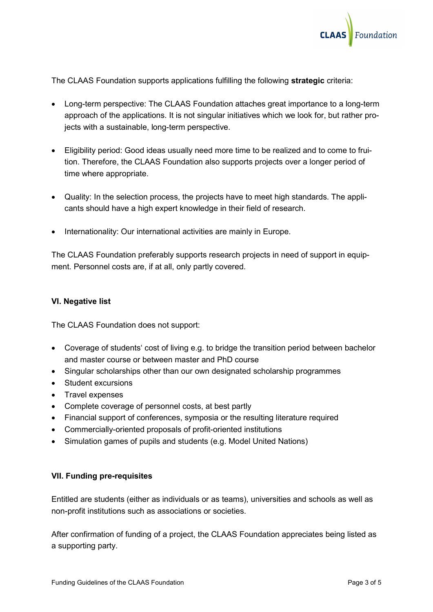

The CLAAS Foundation supports applications fulfilling the following strategic criteria:

- Long-term perspective: The CLAAS Foundation attaches great importance to a long-term approach of the applications. It is not singular initiatives which we look for, but rather projects with a sustainable, long-term perspective.
- Eligibility period: Good ideas usually need more time to be realized and to come to fruition. Therefore, the CLAAS Foundation also supports projects over a longer period of time where appropriate.
- Quality: In the selection process, the projects have to meet high standards. The applicants should have a high expert knowledge in their field of research.
- Internationality: Our international activities are mainly in Europe.

The CLAAS Foundation preferably supports research projects in need of support in equipment. Personnel costs are, if at all, only partly covered.

#### VI. Negative list

The CLAAS Foundation does not support:

- Coverage of students' cost of living e.g. to bridge the transition period between bachelor and master course or between master and PhD course
- Singular scholarships other than our own designated scholarship programmes
- Student excursions
- Travel expenses
- Complete coverage of personnel costs, at best partly
- Financial support of conferences, symposia or the resulting literature required
- Commercially-oriented proposals of profit-oriented institutions
- Simulation games of pupils and students (e.g. Model United Nations)

#### VII. Funding pre-requisites

Entitled are students (either as individuals or as teams), universities and schools as well as non-profit institutions such as associations or societies.

After confirmation of funding of a project, the CLAAS Foundation appreciates being listed as a supporting party.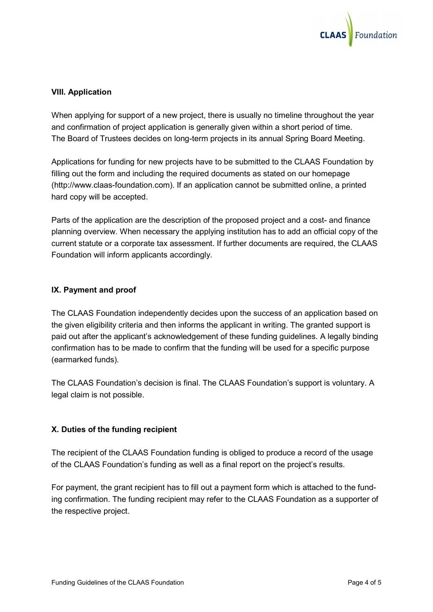

#### VIII. Application

When applying for support of a new project, there is usually no timeline throughout the year and confirmation of project application is generally given within a short period of time. The Board of Trustees decides on long-term projects in its annual Spring Board Meeting.

Applications for funding for new projects have to be submitted to the CLAAS Foundation by filling out the form and including the required documents as stated on our homepage (http://www.claas-foundation.com). If an application cannot be submitted online, a printed hard copy will be accepted.

Parts of the application are the description of the proposed project and a cost- and finance planning overview. When necessary the applying institution has to add an official copy of the current statute or a corporate tax assessment. If further documents are required, the CLAAS Foundation will inform applicants accordingly.

### IX. Payment and proof

The CLAAS Foundation independently decides upon the success of an application based on the given eligibility criteria and then informs the applicant in writing. The granted support is paid out after the applicant's acknowledgement of these funding guidelines. A legally binding confirmation has to be made to confirm that the funding will be used for a specific purpose (earmarked funds).

The CLAAS Foundation's decision is final. The CLAAS Foundation's support is voluntary. A legal claim is not possible.

#### X. Duties of the funding recipient

The recipient of the CLAAS Foundation funding is obliged to produce a record of the usage of the CLAAS Foundation's funding as well as a final report on the project's results.

For payment, the grant recipient has to fill out a payment form which is attached to the funding confirmation. The funding recipient may refer to the CLAAS Foundation as a supporter of the respective project.